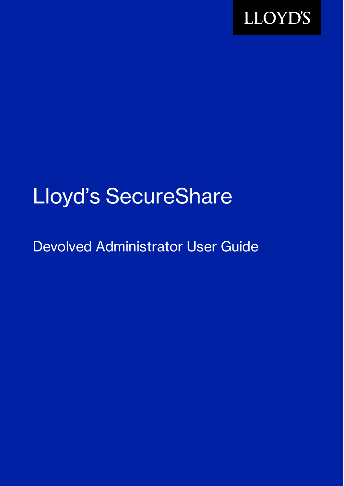

# Lloyd's SecureShare

Devolved Administrator User Guide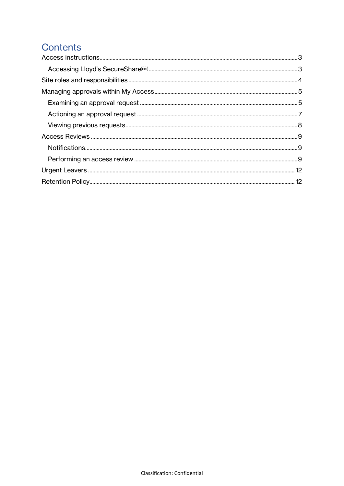# **Contents**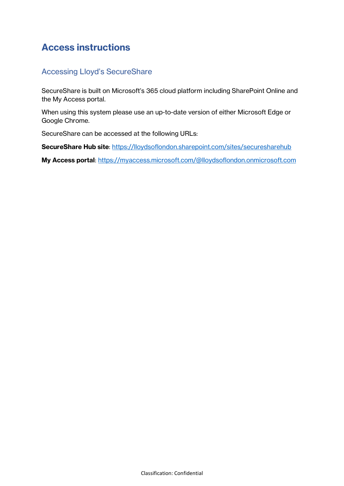# <span id="page-2-0"></span>**Access instructions**

## <span id="page-2-1"></span>Accessing Lloyd's SecureShare

SecureShare is built on Microsoft's 365 cloud platform including SharePoint Online and the My Access portal.

When using this system please use an up-to-date version of either Microsoft Edge or Google Chrome.

SecureShare can be accessed at the following URLs:

**SecureShare Hub site**:<https://lloydsoflondon.sharepoint.com/sites/securesharehub>

**My Access portal**: <https://myaccess.microsoft.com/@lloydsoflondon.onmicrosoft.com>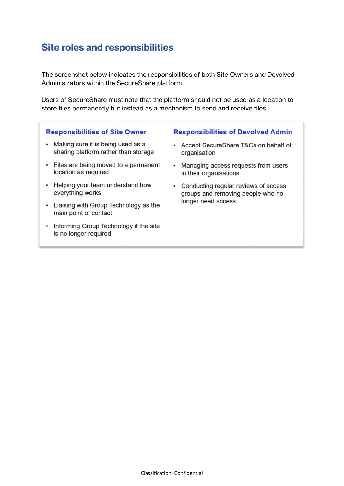# <span id="page-3-0"></span>**Site roles and responsibilities**

The screenshot below indicates the responsibilities of both Site Owners and Devolved Administrators within the SecureShare platform.

Users of SecureShare must note that the platform should not be used as a location to store files permanently but instead as a mechanism to send and receive files.

#### **Responsibilities of Site Owner**

- Making sure it is being used as a sharing platform rather than storage
- Files are being moved to a permanent location as required
- Helping your team understand how everything works
- Liaising with Group Technology as the main point of contact
- Informing Group Technology if the site is no longer required

## **Responsibilities of Devolved Admin**

- Accept SecureShare T&Cs on behalf of organisation
- Managing access requests from users in their organisations
- Conducting regular reviews of access groups and removing people who no longer need access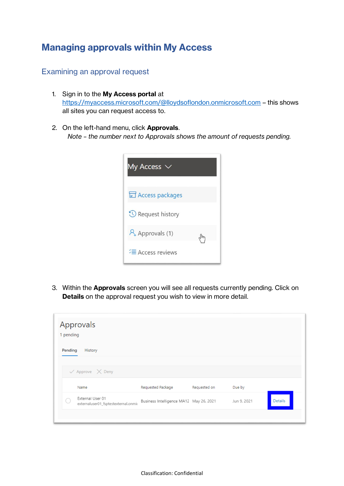# <span id="page-4-0"></span>**Managing approvals within My Access**

## <span id="page-4-1"></span>Examining an approval request

- 1. Sign in to the **My Access portal** at <https://myaccess.microsoft.com/@lloydsoflondon.onmicrosoft.com> – this shows all sites you can request access to.
- 2. On the left-hand menu, click **Approvals**. *Note – the number next to Approvals shows the amount of requests pending.*



3. Within the **Approvals** screen you will see all requests currently pending. Click on **Details** on the approval request you wish to view in more detail.

| 1 pending<br>Pending | Approvals<br>History                                     |                                         |              |             |                |
|----------------------|----------------------------------------------------------|-----------------------------------------|--------------|-------------|----------------|
|                      | $\checkmark$ Approve $\checkmark$ Deny                   |                                         |              |             |                |
|                      | Name                                                     | Requested Package                       | Requested on | Due by      |                |
|                      | External User 01<br>externaluser01_fsptestexternal.onmic | Business Intelligence MA12 May 26, 2021 |              | Jun 9, 2021 | <b>Details</b> |
|                      |                                                          |                                         |              |             |                |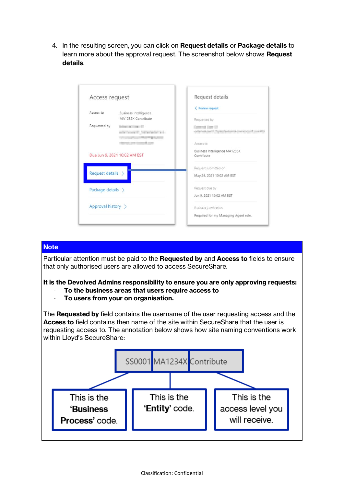4. In the resulting screen, you can click on **Request details** or **Package details** to learn more about the approval request. The screenshot below shows **Request details**.

| Access request     |                                     | Request details                                     |
|--------------------|-------------------------------------|-----------------------------------------------------|
| Access to          | Business Intelligence               | < Review request                                    |
|                    | MA1235X Contribute                  | Requested by                                        |
| Requested by       | <b>Sederator and company of the</b> | <b>Common Lines Cit</b>                             |
|                    | and provide the first street and    | collected and it format education control condition |
|                    | starred past formed costs           | Access to                                           |
|                    | Due Jun 9, 2021 10:02 AM BST        | Business Intelligence MA1235X<br>Contribute         |
|                    |                                     |                                                     |
|                    |                                     | Request submitted on                                |
| Request details >  |                                     | May 26, 2021 10:02 AM BST                           |
| Package details >  |                                     | Request due by                                      |
|                    |                                     | Jun 9, 2021 10:02 AM BST                            |
| Approval history > |                                     | Business justification                              |
|                    |                                     | Required for my Managing Agent role.                |

## **Note**

Particular attention must be paid to the **Requested by** and **Access to** fields to ensure that only authorised users are allowed to access SecureShare.

**It is the Devolved Admins responsibility to ensure you are only approving requests:**

- **To the business areas that users require access to**
- **To users from your on organisation.**

The **Requested by** field contains the username of the user requesting access and the **Access to** field contains then name of the site within SecureShare that the user is requesting access to. The annotation below shows how site naming conventions work within Lloyd's SecureShare:

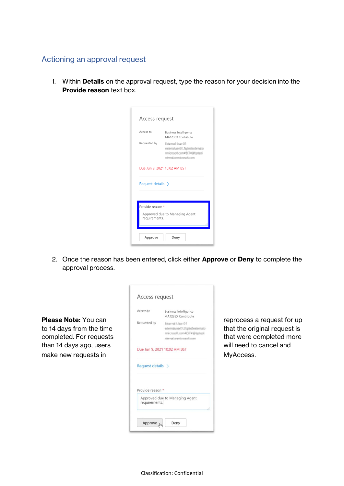## <span id="page-6-0"></span>Actioning an approval request

1. Within **Details** on the approval request, type the reason for your decision into the **Provide reason** text box.

| Access request         |                                                                                                            |
|------------------------|------------------------------------------------------------------------------------------------------------|
| Access to              | <b>Business Intelligence</b><br>MA1235X Contribute                                                         |
| Requested by           | Enternal Due 35<br>exhavior about 7 hydrodinate red in<br>microch.cm#EOn@ptati<br>sized controls to France |
|                        | Due Jun 9, 2021 10:02 AM BST                                                                               |
| Request details $\geq$ |                                                                                                            |
| Provide reason *       |                                                                                                            |
| requirements.          | Approved due to Managing Agent                                                                             |
|                        |                                                                                                            |

2. Once the reason has been entered, click either **Approve** or **Deny** to complete the approval process.

|                                                                                                                                       | Access request                                                                                                                                                                                                                                                                     |                                                                                                                                |
|---------------------------------------------------------------------------------------------------------------------------------------|------------------------------------------------------------------------------------------------------------------------------------------------------------------------------------------------------------------------------------------------------------------------------------|--------------------------------------------------------------------------------------------------------------------------------|
| <b>Please Note:</b> You can<br>to 14 days from the time<br>completed. For requests<br>than 14 days ago, users<br>make new requests in | Access to<br><b>Business Intelligence</b><br>MA1235X Contribute<br>Requested by<br>Esternal User OT<br>inform@craw? UP@dedindramabl-<br>tenic result constituti initiates).<br>relate rigil, proprieto respective, commo<br>Due Jun 9, 2021 10:02 AM BST<br>Request details $\geq$ | reprocess a request for up<br>that the original request is<br>that were completed more<br>will need to cancel and<br>MyAccess. |
|                                                                                                                                       | Provide reason *<br>Approved due to Managing Agent<br>requirements.<br>Approve <sub>phy</sub><br>Deny                                                                                                                                                                              |                                                                                                                                |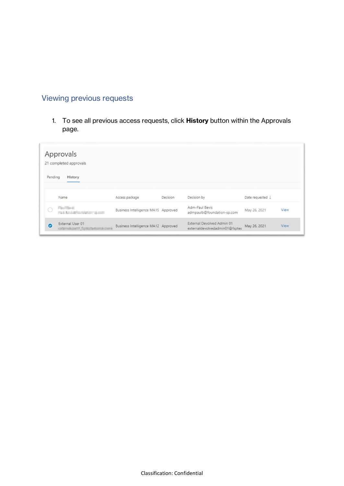## <span id="page-7-0"></span>Viewing previous requests

1. To see all previous access requests, click **History** button within the Approvals page.

| Pending   | Approvals<br>21 completed approvals<br>History            |                                     |          |                                                              |                  |             |
|-----------|-----------------------------------------------------------|-------------------------------------|----------|--------------------------------------------------------------|------------------|-------------|
|           | Name                                                      | Access package                      | Decision | Decision by                                                  | Date requested J |             |
|           | Paul Sterit<br>Tel: Middle Constitution Security          | Business Intelligence MA19 Approved |          | Adm-Paul Bevis<br>admpaulb@foundation-sp.com                 | May 26, 2021     | View        |
| $\bullet$ | External User 01<br><b>CONTROLLINGS</b> TOWED THE CONTROL | Business Intelligence MA12 Approved |          | External Devolved Admin 01<br>externaldevolvedadmin01@fsptes | May 26, 2021     | <b>View</b> |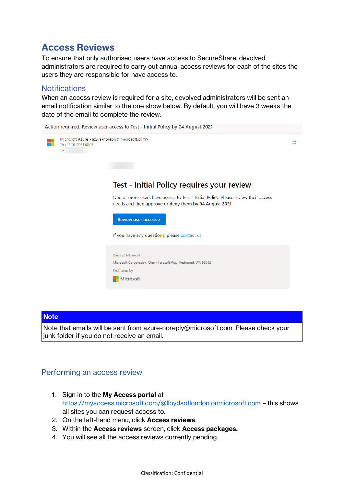# <span id="page-8-0"></span>**Access Reviews**

To ensure that only authorised users have access to SecureShare, devolved administrators are required to carry out annual access reviews for each of the sites the users they are responsible for have access to.

## <span id="page-8-1"></span>**Notifications**

When an access review is required for a site, devolved administrators will be sent an email notification similar to the one show below. By default, you will have 3 weeks the date of the email to complete the review.

Action required: Review user access to Test - Initial Policy by 04 August 2021



#### **Note**

Note that emails will be sent from azure-noreply@microsoft.com. Please check your junk folder if you do not receive an email.

## <span id="page-8-2"></span>Performing an access review

- 1. Sign in to the **My Access portal** at <https://myaccess.microsoft.com/@lloydsoflondon.onmicrosoft.com> – this shows all sites you can request access to.
- 2. On the left-hand menu, click **Access reviews**.
- 3. Within the **Access reviews** screen, click **Access packages.**
- 4. You will see all the access reviews currently pending.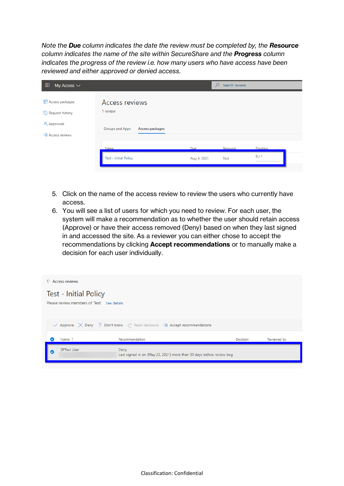*Note the Due column indicates the date the review must be completed by, the Resource column indicates the name of the site within SecureShare and the Progress column indicates the progress of the review i.e. how many users who have access have been reviewed and either approved or denied access.* 

| 噩<br>My Access $\vee$                                                        |                                                                         |                           | $\Omega$<br>Search reviews |                 |
|------------------------------------------------------------------------------|-------------------------------------------------------------------------|---------------------------|----------------------------|-----------------|
| Access packages<br>Request history<br>A Approvals<br><b>注 Access reviews</b> | <b>Access reviews</b><br>1 review<br>Access packages<br>Groups and Apps |                           |                            |                 |
|                                                                              | Name<br><b>Test - Initial Policy</b>                                    | <b>Due</b><br>Aug 4, 2021 | Resource<br>Test           | Progress<br>0/1 |

- 5. Click on the name of the access review to review the users who currently have access.
- 6. You will see a list of users for which you need to review. For each user, the system will make a recommendation as to whether the user should retain access (Approve) or have their access removed (Deny) based on when they last signed in and accessed the site. As a reviewer you can either chose to accept the recommendations by clicking **Accept recommendations** or to manually make a decision for each user individually.

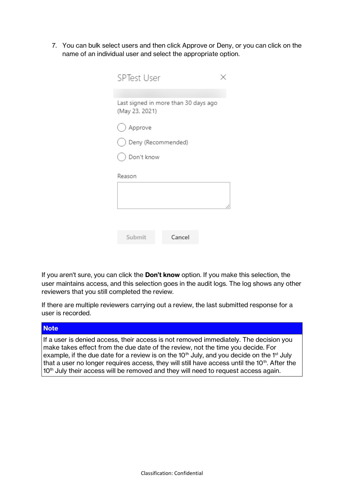7. You can bulk select users and then click Approve or Deny, or you can click on the name of an individual user and select the appropriate option.

| SPTest User                                            |  |
|--------------------------------------------------------|--|
|                                                        |  |
| Last signed in more than 30 days ago<br>(May 23, 2021) |  |
| Approve                                                |  |
| Deny (Recommended)                                     |  |
| Don't know                                             |  |
| Reason                                                 |  |
|                                                        |  |
|                                                        |  |
|                                                        |  |
|                                                        |  |
| Submit<br>Cancel                                       |  |

If you aren't sure, you can click the **Don't know** option. If you make this selection, the user maintains access, and this selection goes in the audit logs. The log shows any other reviewers that you still completed the review.

If there are multiple reviewers carrying out a review, the last submitted response for a user is recorded.

#### **Note**

If a user is denied access, their access is not removed immediately. The decision you make takes effect from the due date of the review, not the time you decide. For example, if the due date for a review is on the  $10<sup>th</sup>$  July, and you decide on the 1<sup>st</sup> July that a user no longer requires access, they will still have access until the  $10<sup>th</sup>$ . After the 10<sup>th</sup> July their access will be removed and they will need to request access again.